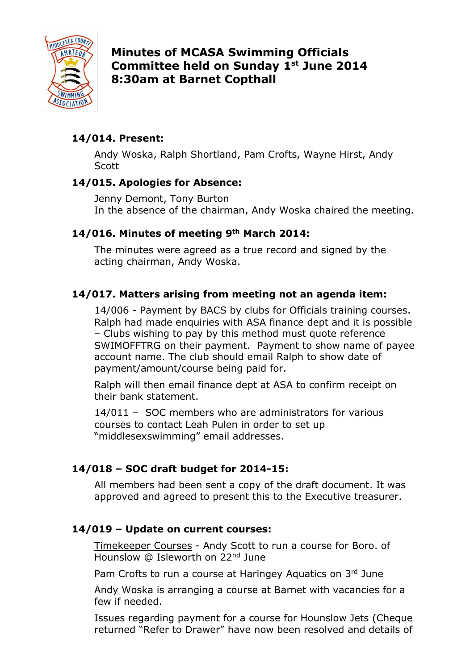

Minutes of MCASA Swimming Officials Committee held on Sunday 1<sup>st</sup> June 2014 8:30am at Barnet Copthall

# 14/014. Present:

Andy Woska, Ralph Shortland, Pam Crofts, Wayne Hirst, Andy **Scott** 

### 14/015. Apologies for Absence:

Jenny Demont, Tony Burton In the absence of the chairman, Andy Woska chaired the meeting.

## 14/016. Minutes of meeting 9<sup>th</sup> March 2014:

The minutes were agreed as a true record and signed by the acting chairman, Andy Woska.

## 14/017. Matters arising from meeting not an agenda item:

 14/006 - Payment by BACS by clubs for Officials training courses. Ralph had made enquiries with ASA finance dept and it is possible – Clubs wishing to pay by this method must quote reference SWIMOFFTRG on their payment. Payment to show name of payee account name. The club should email Ralph to show date of payment/amount/course being paid for.

 Ralph will then email finance dept at ASA to confirm receipt on their bank statement.

 14/011 – SOC members who are administrators for various courses to contact Leah Pulen in order to set up "middlesexswimming" email addresses.

# 14/018 – SOC draft budget for 2014-15:

All members had been sent a copy of the draft document. It was approved and agreed to present this to the Executive treasurer.

### 14/019 – Update on current courses:

Timekeeper Courses - Andy Scott to run a course for Boro. of Hounslow @ Isleworth on 22nd June

Pam Crofts to run a course at Haringey Aquatics on 3rd June

 Andy Woska is arranging a course at Barnet with vacancies for a few if needed.

 Issues regarding payment for a course for Hounslow Jets (Cheque returned "Refer to Drawer" have now been resolved and details of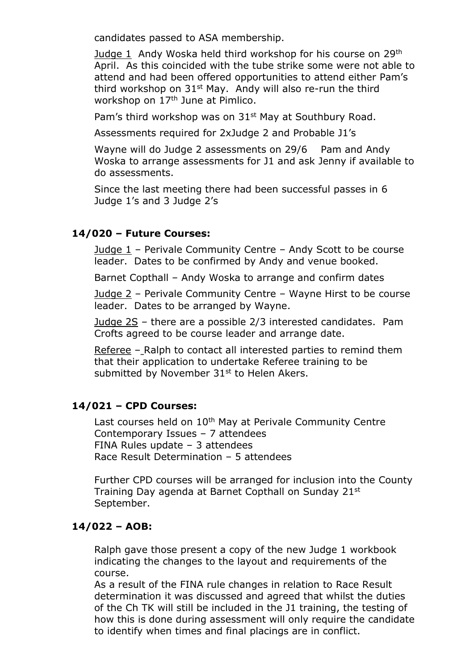candidates passed to ASA membership.

 Judge 1 Andy Woska held third workshop for his course on 29th April. As this coincided with the tube strike some were not able to attend and had been offered opportunities to attend either Pam's third workshop on 31st May. Andy will also re-run the third workshop on 17<sup>th</sup> June at Pimlico.

Pam's third workshop was on 31<sup>st</sup> May at Southbury Road.

Assessments required for 2xJudge 2 and Probable J1's

Wayne will do Judge 2 assessments on 29/6 Pam and Andy Woska to arrange assessments for J1 and ask Jenny if available to do assessments.

 Since the last meeting there had been successful passes in 6 Judge 1's and 3 Judge 2's

#### 14/020 – Future Courses:

 Judge 1 – Perivale Community Centre – Andy Scott to be course leader. Dates to be confirmed by Andy and venue booked.

Barnet Copthall – Andy Woska to arrange and confirm dates

 Judge 2 – Perivale Community Centre – Wayne Hirst to be course leader. Dates to be arranged by Wayne.

 Judge 2S – there are a possible 2/3 interested candidates. Pam Crofts agreed to be course leader and arrange date.

 Referee – Ralph to contact all interested parties to remind them that their application to undertake Referee training to be submitted by November 31<sup>st</sup> to Helen Akers.

#### 14/021 – CPD Courses:

Last courses held on 10<sup>th</sup> May at Perivale Community Centre Contemporary Issues – 7 attendees FINA Rules update – 3 attendees Race Result Determination – 5 attendees

 Further CPD courses will be arranged for inclusion into the County Training Day agenda at Barnet Copthall on Sunday 21st September.

#### 14/022 – AOB:

Ralph gave those present a copy of the new Judge 1 workbook indicating the changes to the layout and requirements of the course.

 As a result of the FINA rule changes in relation to Race Result determination it was discussed and agreed that whilst the duties of the Ch TK will still be included in the J1 training, the testing of how this is done during assessment will only require the candidate to identify when times and final placings are in conflict.